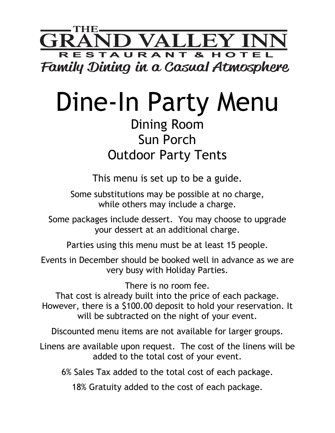

## Dine-In Party Menu

## Dining Room Sun Porch Outdoor Party Tents

This menu is set up to be a guide. Some substitutions may be possible at no charge, while others may include a charge.

Some packages include dessert. You may choose to upgrade your dessert at an additional charge.

Parties using this menu must be at least 15 people.

Events in December should be booked well in advance as we are very busy with Holiday Parties.

There is no room fee.

That cost is already built into the price of each package. However, there is a \$100.00 deposit to hold your reservation. It will be subtracted on the night of your event.

Discounted menu items are not available for larger groups.

Linens are available upon request. The cost of the linens will be added to the total cost of your event.

6% Sales Tax added to the total cost of each package.

18% Gratuity added to the cost of each package.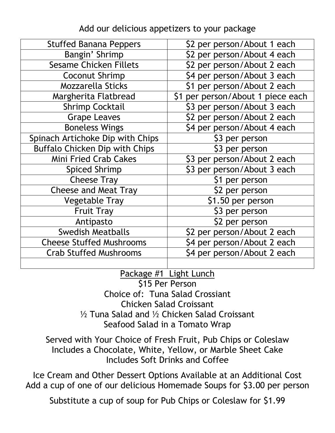| <b>Stuffed Banana Peppers</b>    | \$2 per person/About 1 each       |
|----------------------------------|-----------------------------------|
| Bangin' Shrimp                   | \$2 per person/About 4 each       |
| <b>Sesame Chicken Fillets</b>    | \$2 per person/About 2 each       |
| Coconut Shrimp                   | \$4 per person/About 3 each       |
| <b>Mozzarella Sticks</b>         | \$1 per person/About 2 each       |
| Margherita Flatbread             | \$1 per person/About 1 piece each |
| <b>Shrimp Cocktail</b>           | \$3 per person/About 3 each       |
| <b>Grape Leaves</b>              | \$2 per person/About 2 each       |
| <b>Boneless Wings</b>            | \$4 per person/About 4 each       |
| Spinach Artichoke Dip with Chips | \$3 per person                    |
| Buffalo Chicken Dip with Chips   | \$3 per person                    |
| <b>Mini Fried Crab Cakes</b>     | \$3 per person/About 2 each       |
| <b>Spiced Shrimp</b>             | \$3 per person/About 3 each       |
| <b>Cheese Tray</b>               | \$1 per person                    |
| <b>Cheese and Meat Tray</b>      | \$2 per person                    |
| <b>Vegetable Tray</b>            | \$1.50 per person                 |
| <b>Fruit Tray</b>                | \$3 per person                    |
| Antipasto                        | \$2 per person                    |
| <b>Swedish Meatballs</b>         | \$2 per person/About 2 each       |
| <b>Cheese Stuffed Mushrooms</b>  | \$4 per person/About 2 each       |
| <b>Crab Stuffed Mushrooms</b>    | \$4 per person/About 2 each       |
|                                  |                                   |

## Add our delicious appetizers to your package

Package #1 Light Lunch

\$15 Per Person Choice of: Tuna Salad Crossiant Chicken Salad Croissant ½ Tuna Salad and ½ Chicken Salad Croissant Seafood Salad in a Tomato Wrap

Served with Your Choice of Fresh Fruit, Pub Chips or Coleslaw Includes a Chocolate, White, Yellow, or Marble Sheet Cake Includes Soft Drinks and Coffee

Ice Cream and Other Dessert Options Available at an Additional Cost Add a cup of one of our delicious Homemade Soups for \$3.00 per person

Substitute a cup of soup for Pub Chips or Coleslaw for \$1.99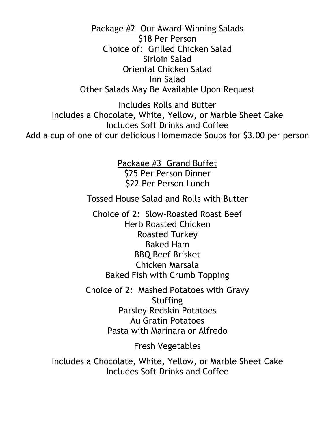Package #2 Our Award-Winning Salads

\$18 Per Person Choice of: Grilled Chicken Salad Sirloin Salad Oriental Chicken Salad Inn Salad Other Salads May Be Available Upon Request

Includes Rolls and Butter Includes a Chocolate, White, Yellow, or Marble Sheet Cake Includes Soft Drinks and Coffee Add a cup of one of our delicious Homemade Soups for \$3.00 per person

> Package #3 Grand Buffet \$25 Per Person Dinner \$22 Per Person Lunch

Tossed House Salad and Rolls with Butter

Choice of 2: Slow-Roasted Roast Beef Herb Roasted Chicken Roasted Turkey Baked Ham BBQ Beef Brisket Chicken Marsala Baked Fish with Crumb Topping

Choice of 2: Mashed Potatoes with Gravy **Stuffing** Parsley Redskin Potatoes Au Gratin Potatoes Pasta with Marinara or Alfredo

Fresh Vegetables

Includes a Chocolate, White, Yellow, or Marble Sheet Cake Includes Soft Drinks and Coffee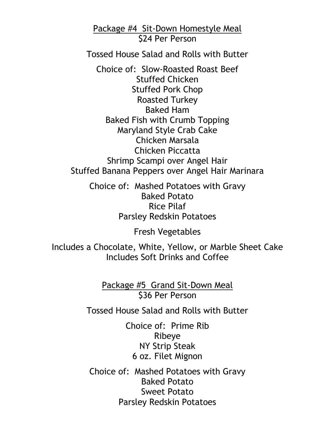Package #4 Sit-Down Homestyle Meal \$24 Per Person

Tossed House Salad and Rolls with Butter

Choice of: Slow-Roasted Roast Beef Stuffed Chicken Stuffed Pork Chop Roasted Turkey Baked Ham Baked Fish with Crumb Topping Maryland Style Crab Cake Chicken Marsala Chicken Piccatta Shrimp Scampi over Angel Hair Stuffed Banana Peppers over Angel Hair Marinara

Choice of: Mashed Potatoes with Gravy Baked Potato Rice Pilaf Parsley Redskin Potatoes

Fresh Vegetables

Includes a Chocolate, White, Yellow, or Marble Sheet Cake Includes Soft Drinks and Coffee

> Package #5 Grand Sit-Down Meal \$36 Per Person

Tossed House Salad and Rolls with Butter

Choice of: Prime Rib Ribeye NY Strip Steak 6 oz. Filet Mignon

Choice of: Mashed Potatoes with Gravy Baked Potato Sweet Potato Parsley Redskin Potatoes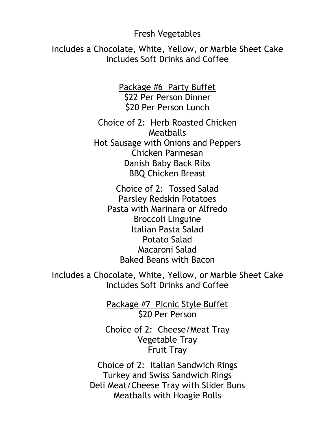## Fresh Vegetables

Includes a Chocolate, White, Yellow, or Marble Sheet Cake Includes Soft Drinks and Coffee

> Package #6 Party Buffet \$22 Per Person Dinner \$20 Per Person Lunch

Choice of 2: Herb Roasted Chicken **Meatballs** Hot Sausage with Onions and Peppers Chicken Parmesan Danish Baby Back Ribs BBQ Chicken Breast

Choice of 2: Tossed Salad Parsley Redskin Potatoes Pasta with Marinara or Alfredo Broccoli Linguine Italian Pasta Salad Potato Salad Macaroni Salad Baked Beans with Bacon

Includes a Chocolate, White, Yellow, or Marble Sheet Cake Includes Soft Drinks and Coffee

> Package #7 Picnic Style Buffet \$20 Per Person

Choice of 2: Cheese/Meat Tray Vegetable Tray Fruit Tray

Choice of 2: Italian Sandwich Rings Turkey and Swiss Sandwich Rings Deli Meat/Cheese Tray with Slider Buns Meatballs with Hoagie Rolls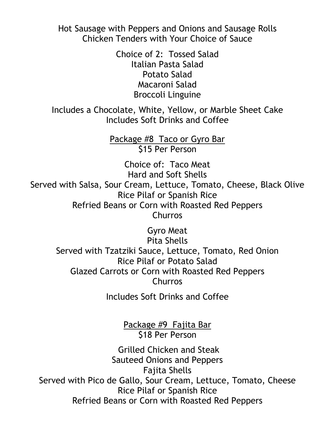Hot Sausage with Peppers and Onions and Sausage Rolls Chicken Tenders with Your Choice of Sauce

> Choice of 2: Tossed Salad Italian Pasta Salad Potato Salad Macaroni Salad Broccoli Linguine

Includes a Chocolate, White, Yellow, or Marble Sheet Cake Includes Soft Drinks and Coffee

> Package #8 Taco or Gyro Bar \$15 Per Person

Choice of: Taco Meat Hard and Soft Shells Served with Salsa, Sour Cream, Lettuce, Tomato, Cheese, Black Olive Rice Pilaf or Spanish Rice Refried Beans or Corn with Roasted Red Peppers Churros

Gyro Meat Pita Shells Served with Tzatziki Sauce, Lettuce, Tomato, Red Onion Rice Pilaf or Potato Salad Glazed Carrots or Corn with Roasted Red Peppers Churros

Includes Soft Drinks and Coffee

Package #9 Fajita Bar \$18 Per Person

Grilled Chicken and Steak Sauteed Onions and Peppers Fajita Shells Served with Pico de Gallo, Sour Cream, Lettuce, Tomato, Cheese Rice Pilaf or Spanish Rice Refried Beans or Corn with Roasted Red Peppers